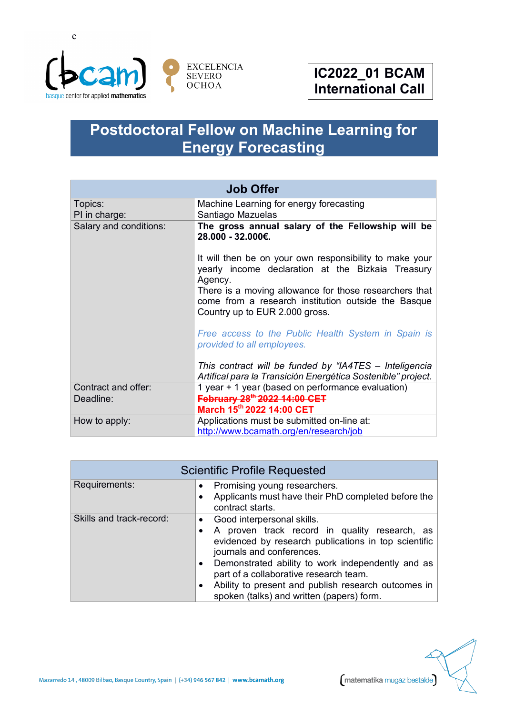

## **Postdoctoral Fellow on Machine Learning for Energy Forecasting**

| <b>Job Offer</b>       |                                                                                                                                                 |  |
|------------------------|-------------------------------------------------------------------------------------------------------------------------------------------------|--|
| Topics:                | Machine Learning for energy forecasting                                                                                                         |  |
| PI in charge:          | Santiago Mazuelas                                                                                                                               |  |
| Salary and conditions: | The gross annual salary of the Fellowship will be<br>28.000 - 32.000€.                                                                          |  |
|                        | It will then be on your own responsibility to make your<br>yearly income declaration at the Bizkaia Treasury<br>Agency.                         |  |
|                        | There is a moving allowance for those researchers that<br>come from a research institution outside the Basque<br>Country up to EUR 2.000 gross. |  |
|                        | Free access to the Public Health System in Spain is<br>provided to all employees.                                                               |  |
|                        | This contract will be funded by "IA4TES - Inteligencia<br>Artifical para la Transición Energética Sostenible" project.                          |  |
| Contract and offer:    | 1 year + 1 year (based on performance evaluation)                                                                                               |  |
| Deadline:              | February 28 <sup>th</sup> 2022 14:00 CET<br>March 15th 2022 14:00 CET                                                                           |  |
| How to apply:          | Applications must be submitted on-line at:<br>http://www.bcamath.org/en/research/job                                                            |  |

| <b>Scientific Profile Requested</b> |                                                                                                                                                                                                                                                                                                                                                                                                    |  |
|-------------------------------------|----------------------------------------------------------------------------------------------------------------------------------------------------------------------------------------------------------------------------------------------------------------------------------------------------------------------------------------------------------------------------------------------------|--|
| Requirements:                       | Promising young researchers.<br>$\bullet$<br>Applicants must have their PhD completed before the<br>$\bullet$<br>contract starts.                                                                                                                                                                                                                                                                  |  |
| Skills and track-record:            | Good interpersonal skills.<br>$\bullet$<br>A proven track record in quality research, as<br>evidenced by research publications in top scientific<br>journals and conferences.<br>Demonstrated ability to work independently and as<br>٠<br>part of a collaborative research team.<br>Ability to present and publish research outcomes in<br>$\bullet$<br>spoken (talks) and written (papers) form. |  |

Mazarredo 14, 48009 Bilbao, Basque Country, Spain | (+34) 946 567 842 | www.bcamath.org

matematika mugaz bestalde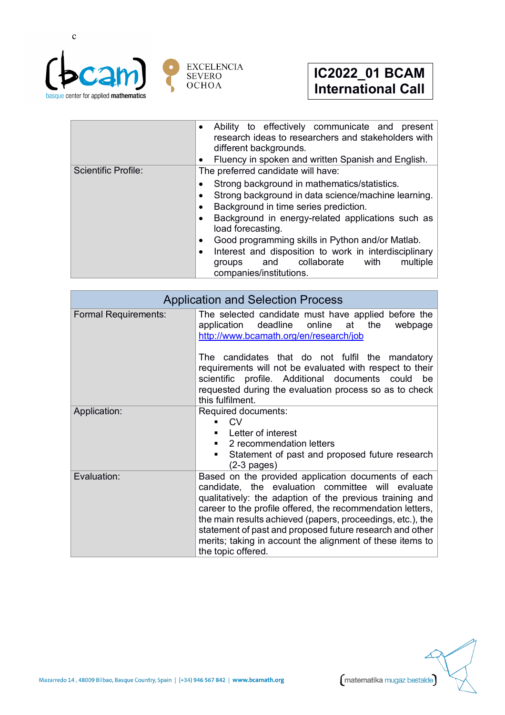

|                            | Ability to effectively communicate and present<br>$\bullet$<br>research ideas to researchers and stakeholders with<br>different backgrounds.<br>Fluency in spoken and written Spanish and English.<br>٠                                                                                                                                                                                                                                                                     |
|----------------------------|-----------------------------------------------------------------------------------------------------------------------------------------------------------------------------------------------------------------------------------------------------------------------------------------------------------------------------------------------------------------------------------------------------------------------------------------------------------------------------|
| <b>Scientific Profile:</b> | The preferred candidate will have:                                                                                                                                                                                                                                                                                                                                                                                                                                          |
|                            | Strong background in mathematics/statistics.<br>Strong background in data science/machine learning.<br>٠<br>Background in time series prediction.<br>$\bullet$<br>Background in energy-related applications such as<br>$\bullet$<br>load forecasting.<br>Good programming skills in Python and/or Matlab.<br>$\bullet$<br>Interest and disposition to work in interdisciplinary<br>$\bullet$<br>collaborate<br>multiple<br>with<br>and<br>groups<br>companies/institutions. |

| <b>Application and Selection Process</b> |                                                                                                                                                                                                                                                                                                                                                                                                                                                 |  |
|------------------------------------------|-------------------------------------------------------------------------------------------------------------------------------------------------------------------------------------------------------------------------------------------------------------------------------------------------------------------------------------------------------------------------------------------------------------------------------------------------|--|
| <b>Formal Requirements:</b>              | The selected candidate must have applied before the<br>application deadline online at<br>the<br>webpage<br>http://www.bcamath.org/en/research/job                                                                                                                                                                                                                                                                                               |  |
|                                          | The candidates that do not fulfil the mandatory<br>requirements will not be evaluated with respect to their<br>scientific profile. Additional documents could be<br>requested during the evaluation process so as to check<br>this fulfilment.                                                                                                                                                                                                  |  |
| Application:                             | Required documents:<br>C.V<br>Letter of interest<br>2 recommendation letters<br>Statement of past and proposed future research<br>٠<br>$(2-3$ pages)                                                                                                                                                                                                                                                                                            |  |
| Evaluation:                              | Based on the provided application documents of each<br>candidate, the evaluation committee will evaluate<br>qualitatively: the adaption of the previous training and<br>career to the profile offered, the recommendation letters,<br>the main results achieved (papers, proceedings, etc.), the<br>statement of past and proposed future research and other<br>merits; taking in account the alignment of these items to<br>the topic offered. |  |



matematika mugaz bestalde